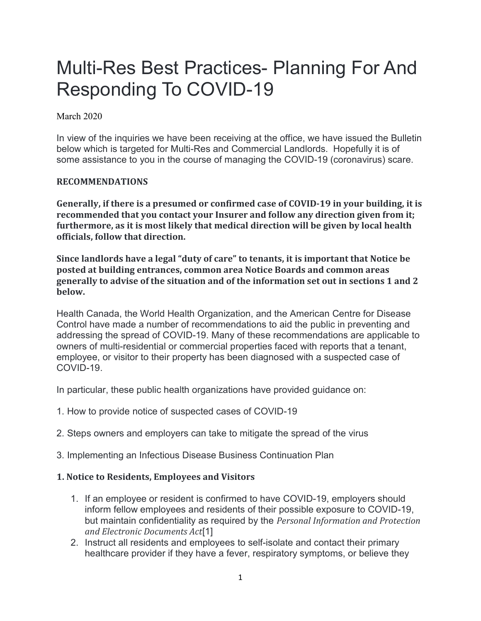# Multi-Res Best Practices- Planning For And Responding To COVID-19

March 2020

In view of the inquiries we have been receiving at the office, we have issued the Bulletin below which is targeted for Multi-Res and Commercial Landlords. Hopefully it is of some assistance to you in the course of managing the COVID-19 (coronavirus) scare.

#### RECOMMENDATIONS

Generally, if there is a presumed or confirmed case of COVID-19 in your building, it is recommended that you contact your Insurer and follow any direction given from it; furthermore, as it is most likely that medical direction will be given by local health officials, follow that direction.

Since landlords have a legal "duty of care" to tenants, it is important that Notice be posted at building entrances, common area Notice Boards and common areas generally to advise of the situation and of the information set out in sections 1 and 2 below.

Health Canada, the World Health Organization, and the American Centre for Disease Control have made a number of recommendations to aid the public in preventing and addressing the spread of COVID-19. Many of these recommendations are applicable to owners of multi-residential or commercial properties faced with reports that a tenant, employee, or visitor to their property has been diagnosed with a suspected case of COVID-19.

In particular, these public health organizations have provided guidance on:

- 1. How to provide notice of suspected cases of COVID-19
- 2. Steps owners and employers can take to mitigate the spread of the virus
- 3. Implementing an Infectious Disease Business Continuation Plan

## 1. Notice to Residents, Employees and Visitors

- 1. If an employee or resident is confirmed to have COVID-19, employers should inform fellow employees and residents of their possible exposure to COVID-19, but maintain confidentiality as required by the Personal Information and Protection and Electronic Documents Act[1]
- 2. Instruct all residents and employees to self-isolate and contact their primary healthcare provider if they have a fever, respiratory symptoms, or believe they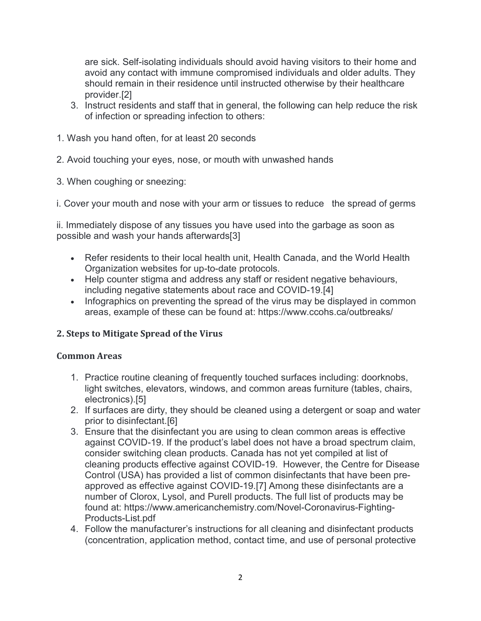are sick. Self-isolating individuals should avoid having visitors to their home and avoid any contact with immune compromised individuals and older adults. They should remain in their residence until instructed otherwise by their healthcare provider.[2]

- 3. Instruct residents and staff that in general, the following can help reduce the risk of infection or spreading infection to others:
- 1. Wash you hand often, for at least 20 seconds
- 2. Avoid touching your eyes, nose, or mouth with unwashed hands
- 3. When coughing or sneezing:

i. Cover your mouth and nose with your arm or tissues to reduce the spread of germs

ii. Immediately dispose of any tissues you have used into the garbage as soon as possible and wash your hands afterwards[3]

- Refer residents to their local health unit, Health Canada, and the World Health Organization websites for up-to-date protocols.
- Help counter stigma and address any staff or resident negative behaviours, including negative statements about race and COVID-19.[4]
- Infographics on preventing the spread of the virus may be displayed in common areas, example of these can be found at: https://www.ccohs.ca/outbreaks/

## 2. Steps to Mitigate Spread of the Virus

## Common Areas

- 1. Practice routine cleaning of frequently touched surfaces including: doorknobs, light switches, elevators, windows, and common areas furniture (tables, chairs, electronics).[5]
- 2. If surfaces are dirty, they should be cleaned using a detergent or soap and water prior to disinfectant.[6]
- 3. Ensure that the disinfectant you are using to clean common areas is effective against COVID-19. If the product's label does not have a broad spectrum claim, consider switching clean products. Canada has not yet compiled at list of cleaning products effective against COVID-19. However, the Centre for Disease Control (USA) has provided a list of common disinfectants that have been preapproved as effective against COVID-19.[7] Among these disinfectants are a number of Clorox, Lysol, and Purell products. The full list of products may be found at: https://www.americanchemistry.com/Novel-Coronavirus-Fighting-Products-List.pdf
- 4. Follow the manufacturer's instructions for all cleaning and disinfectant products (concentration, application method, contact time, and use of personal protective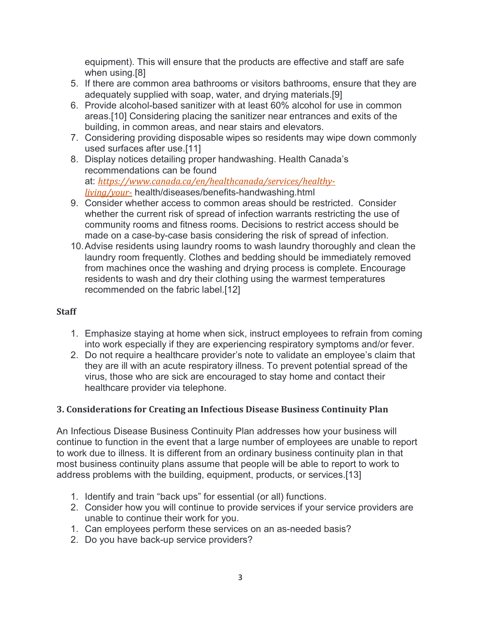equipment). This will ensure that the products are effective and staff are safe when using.[8]

- 5. If there are common area bathrooms or visitors bathrooms, ensure that they are adequately supplied with soap, water, and drying materials.[9]
- 6. Provide alcohol-based sanitizer with at least 60% alcohol for use in common areas.[10] Considering placing the sanitizer near entrances and exits of the building, in common areas, and near stairs and elevators.
- 7. Considering providing disposable wipes so residents may wipe down commonly used surfaces after use.[11]
- 8. Display notices detailing proper handwashing. Health Canada's recommendations can be found at: https://www.canada.ca/en/healthcanada/services/healthyliving/your- health/diseases/benefits-handwashing.html
- 9. Consider whether access to common areas should be restricted. Consider whether the current risk of spread of infection warrants restricting the use of community rooms and fitness rooms. Decisions to restrict access should be made on a case-by-case basis considering the risk of spread of infection.
- 10. Advise residents using laundry rooms to wash laundry thoroughly and clean the laundry room frequently. Clothes and bedding should be immediately removed from machines once the washing and drying process is complete. Encourage residents to wash and dry their clothing using the warmest temperatures recommended on the fabric label.[12]

## **Staff**

- 1. Emphasize staying at home when sick, instruct employees to refrain from coming into work especially if they are experiencing respiratory symptoms and/or fever.
- 2. Do not require a healthcare provider's note to validate an employee's claim that they are ill with an acute respiratory illness. To prevent potential spread of the virus, those who are sick are encouraged to stay home and contact their healthcare provider via telephone.

## 3. Considerations for Creating an Infectious Disease Business Continuity Plan

An Infectious Disease Business Continuity Plan addresses how your business will continue to function in the event that a large number of employees are unable to report to work due to illness. It is different from an ordinary business continuity plan in that most business continuity plans assume that people will be able to report to work to address problems with the building, equipment, products, or services.[13]

- 1. Identify and train "back ups" for essential (or all) functions.
- 2. Consider how you will continue to provide services if your service providers are unable to continue their work for you.
- 1. Can employees perform these services on an as-needed basis?
- 2. Do you have back-up service providers?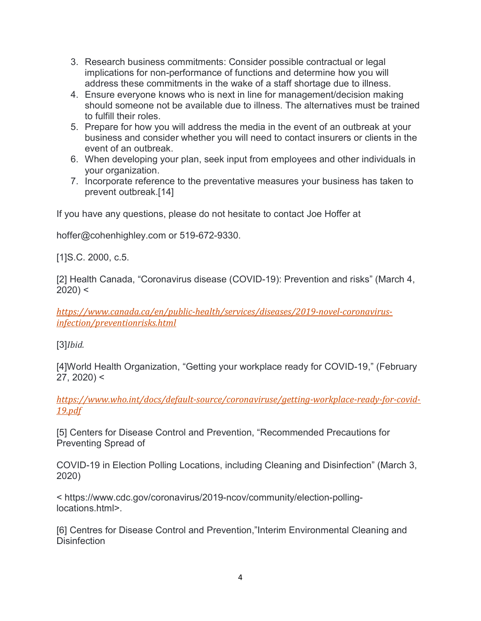- 3. Research business commitments: Consider possible contractual or legal implications for non-performance of functions and determine how you will address these commitments in the wake of a staff shortage due to illness.
- 4. Ensure everyone knows who is next in line for management/decision making should someone not be available due to illness. The alternatives must be trained to fulfill their roles.
- 5. Prepare for how you will address the media in the event of an outbreak at your business and consider whether you will need to contact insurers or clients in the event of an outbreak.
- 6. When developing your plan, seek input from employees and other individuals in your organization.
- 7. Incorporate reference to the preventative measures your business has taken to prevent outbreak.[14]

If you have any questions, please do not hesitate to contact Joe Hoffer at

hoffer@cohenhighley.com or 519-672-9330.

[1]S.C. 2000, c.5.

[2] Health Canada, "Coronavirus disease (COVID-19): Prevention and risks" (March 4,  $2020$ ) <

https://www.canada.ca/en/public-health/services/diseases/2019-novel-coronavirusinfection/preventionrisks.html

[3]Ibid.

[4]World Health Organization, "Getting your workplace ready for COVID-19," (February  $27, 2020$ ) <

https://www.who.int/docs/default-source/coronaviruse/getting-workplace-ready-for-covid-19.pdf

[5] Centers for Disease Control and Prevention, "Recommended Precautions for Preventing Spread of

COVID-19 in Election Polling Locations, including Cleaning and Disinfection" (March 3, 2020)

< https://www.cdc.gov/coronavirus/2019-ncov/community/election-pollinglocations.html>.

[6] Centres for Disease Control and Prevention,"Interim Environmental Cleaning and **Disinfection**